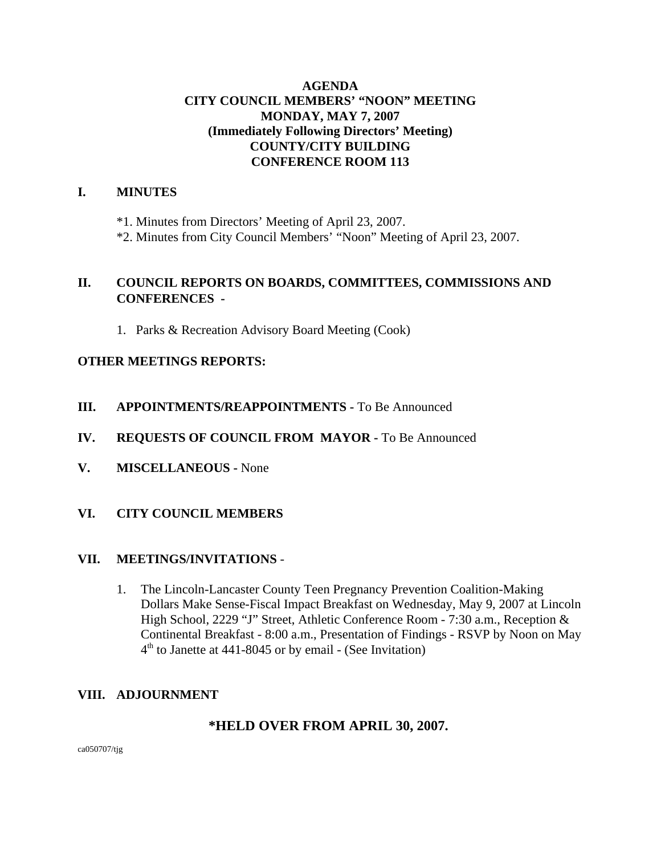# **AGENDA CITY COUNCIL MEMBERS' "NOON" MEETING MONDAY, MAY 7, 2007 (Immediately Following Directors' Meeting) COUNTY/CITY BUILDING CONFERENCE ROOM 113**

# **I. MINUTES**

\*1. Minutes from Directors' Meeting of April 23, 2007.

\*2. Minutes from City Council Members' "Noon" Meeting of April 23, 2007.

# **II. COUNCIL REPORTS ON BOARDS, COMMITTEES, COMMISSIONS AND CONFERENCES -**

1. Parks & Recreation Advisory Board Meeting (Cook)

# **OTHER MEETINGS REPORTS:**

- **III.** APPOINTMENTS/REAPPOINTMENTS To Be Announced
- **IV. REQUESTS OF COUNCIL FROM MAYOR -** To Be Announced
- **V. MISCELLANEOUS** None
- **VI. CITY COUNCIL MEMBERS**

# **VII. MEETINGS/INVITATIONS** -

1. The Lincoln-Lancaster County Teen Pregnancy Prevention Coalition-Making Dollars Make Sense-Fiscal Impact Breakfast on Wednesday, May 9, 2007 at Lincoln High School, 2229 "J" Street, Athletic Conference Room - 7:30 a.m., Reception & Continental Breakfast - 8:00 a.m., Presentation of Findings - RSVP by Noon on May  $4<sup>th</sup>$  to Janette at 441-8045 or by email - (See Invitation)

# **VIII. ADJOURNMENT**

# **\*HELD OVER FROM APRIL 30, 2007.**

ca050707/tjg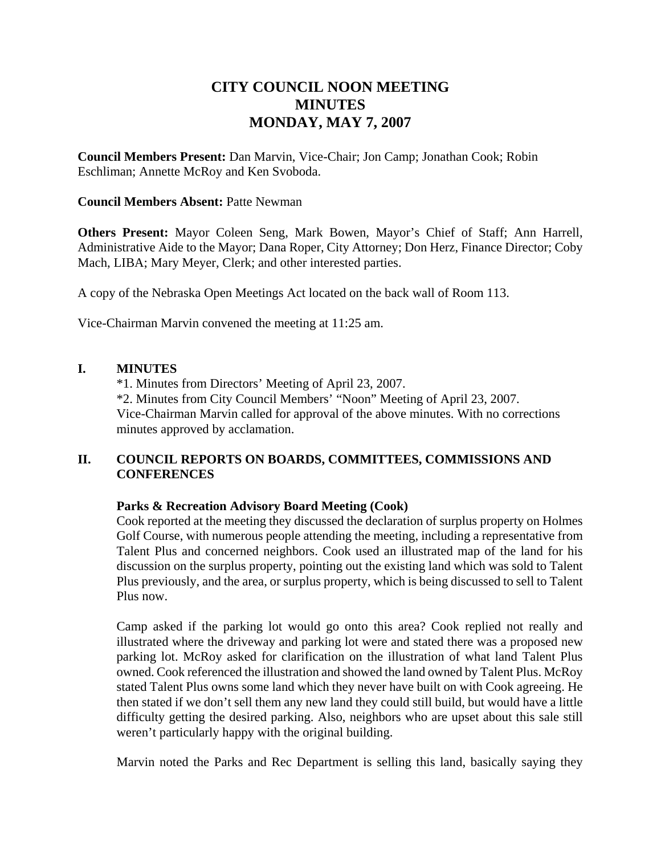# **CITY COUNCIL NOON MEETING MINUTES MONDAY, MAY 7, 2007**

**Council Members Present:** Dan Marvin, Vice-Chair; Jon Camp; Jonathan Cook; Robin Eschliman; Annette McRoy and Ken Svoboda.

#### **Council Members Absent:** Patte Newman

**Others Present:** Mayor Coleen Seng, Mark Bowen, Mayor's Chief of Staff; Ann Harrell, Administrative Aide to the Mayor; Dana Roper, City Attorney; Don Herz, Finance Director; Coby Mach, LIBA; Mary Meyer, Clerk; and other interested parties.

A copy of the Nebraska Open Meetings Act located on the back wall of Room 113.

Vice-Chairman Marvin convened the meeting at 11:25 am.

### **I. MINUTES**

\*1. Minutes from Directors' Meeting of April 23, 2007. \*2. Minutes from City Council Members' "Noon" Meeting of April 23, 2007. Vice-Chairman Marvin called for approval of the above minutes. With no corrections minutes approved by acclamation.

### **II. COUNCIL REPORTS ON BOARDS, COMMITTEES, COMMISSIONS AND CONFERENCES**

### **Parks & Recreation Advisory Board Meeting (Cook)**

Cook reported at the meeting they discussed the declaration of surplus property on Holmes Golf Course, with numerous people attending the meeting, including a representative from Talent Plus and concerned neighbors. Cook used an illustrated map of the land for his discussion on the surplus property, pointing out the existing land which was sold to Talent Plus previously, and the area, or surplus property, which is being discussed to sell to Talent Plus now.

Camp asked if the parking lot would go onto this area? Cook replied not really and illustrated where the driveway and parking lot were and stated there was a proposed new parking lot. McRoy asked for clarification on the illustration of what land Talent Plus owned. Cook referenced the illustration and showed the land owned by Talent Plus. McRoy stated Talent Plus owns some land which they never have built on with Cook agreeing. He then stated if we don't sell them any new land they could still build, but would have a little difficulty getting the desired parking. Also, neighbors who are upset about this sale still weren't particularly happy with the original building.

Marvin noted the Parks and Rec Department is selling this land, basically saying they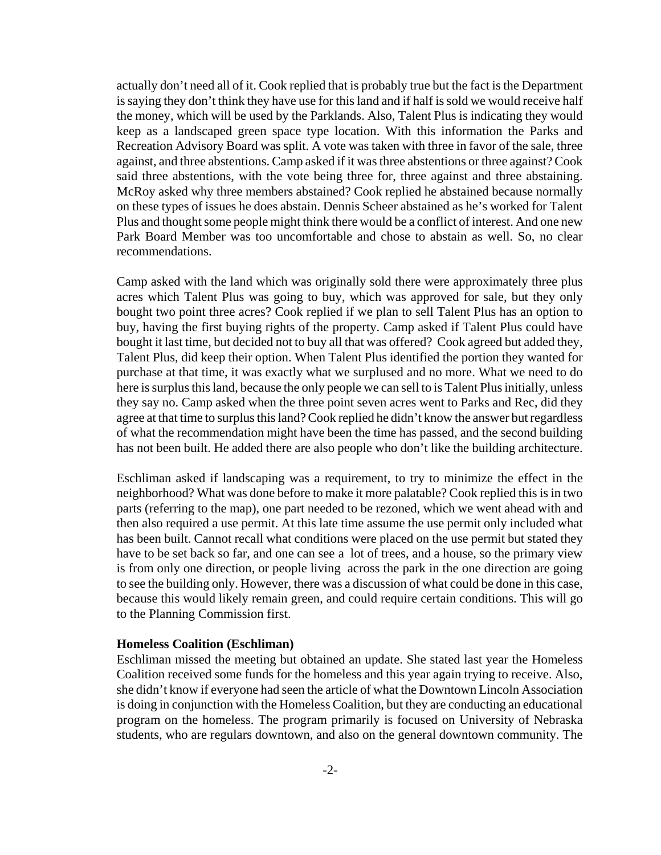actually don't need all of it. Cook replied that is probably true but the fact is the Department is saying they don't think they have use for this land and if half is sold we would receive half the money, which will be used by the Parklands. Also, Talent Plus is indicating they would keep as a landscaped green space type location. With this information the Parks and Recreation Advisory Board was split. A vote was taken with three in favor of the sale, three against, and three abstentions. Camp asked if it was three abstentions or three against? Cook said three abstentions, with the vote being three for, three against and three abstaining. McRoy asked why three members abstained? Cook replied he abstained because normally on these types of issues he does abstain. Dennis Scheer abstained as he's worked for Talent Plus and thought some people might think there would be a conflict of interest. And one new Park Board Member was too uncomfortable and chose to abstain as well. So, no clear recommendations.

Camp asked with the land which was originally sold there were approximately three plus acres which Talent Plus was going to buy, which was approved for sale, but they only bought two point three acres? Cook replied if we plan to sell Talent Plus has an option to buy, having the first buying rights of the property. Camp asked if Talent Plus could have bought it last time, but decided not to buy all that was offered? Cook agreed but added they, Talent Plus, did keep their option. When Talent Plus identified the portion they wanted for purchase at that time, it was exactly what we surplused and no more. What we need to do here is surplus this land, because the only people we can sell to is Talent Plus initially, unless they say no. Camp asked when the three point seven acres went to Parks and Rec, did they agree at that time to surplus this land? Cook replied he didn't know the answer but regardless of what the recommendation might have been the time has passed, and the second building has not been built. He added there are also people who don't like the building architecture.

Eschliman asked if landscaping was a requirement, to try to minimize the effect in the neighborhood? What was done before to make it more palatable? Cook replied this is in two parts (referring to the map), one part needed to be rezoned, which we went ahead with and then also required a use permit. At this late time assume the use permit only included what has been built. Cannot recall what conditions were placed on the use permit but stated they have to be set back so far, and one can see a lot of trees, and a house, so the primary view is from only one direction, or people living across the park in the one direction are going to see the building only. However, there was a discussion of what could be done in this case, because this would likely remain green, and could require certain conditions. This will go to the Planning Commission first.

#### **Homeless Coalition (Eschliman)**

Eschliman missed the meeting but obtained an update. She stated last year the Homeless Coalition received some funds for the homeless and this year again trying to receive. Also, she didn't know if everyone had seen the article of what the Downtown Lincoln Association is doing in conjunction with the Homeless Coalition, but they are conducting an educational program on the homeless. The program primarily is focused on University of Nebraska students, who are regulars downtown, and also on the general downtown community. The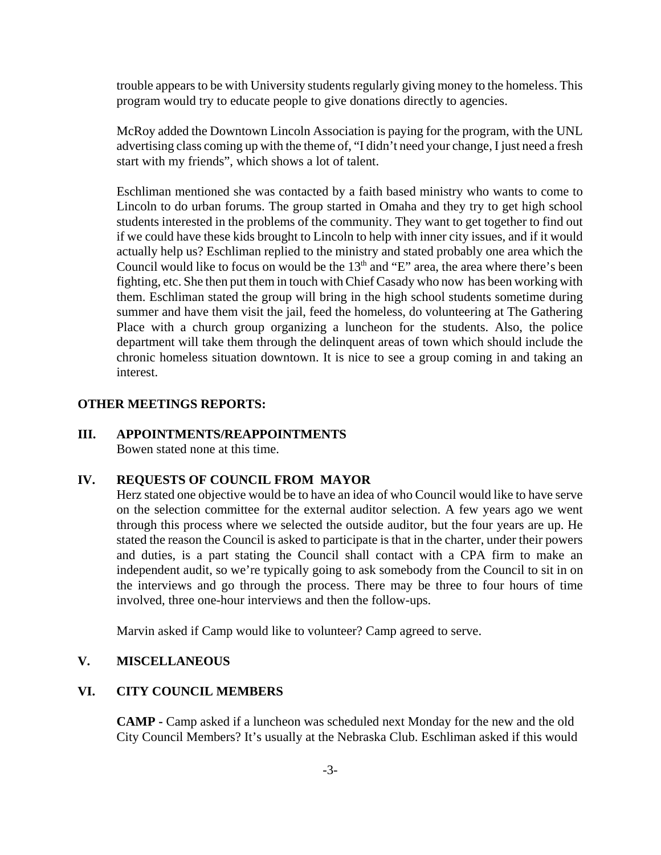trouble appears to be with University students regularly giving money to the homeless. This program would try to educate people to give donations directly to agencies.

McRoy added the Downtown Lincoln Association is paying for the program, with the UNL advertising class coming up with the theme of, "I didn't need your change, I just need a fresh start with my friends", which shows a lot of talent.

Eschliman mentioned she was contacted by a faith based ministry who wants to come to Lincoln to do urban forums. The group started in Omaha and they try to get high school students interested in the problems of the community. They want to get together to find out if we could have these kids brought to Lincoln to help with inner city issues, and if it would actually help us? Eschliman replied to the ministry and stated probably one area which the Council would like to focus on would be the  $13<sup>th</sup>$  and "E" area, the area where there's been fighting, etc. She then put them in touch with Chief Casady who now has been working with them. Eschliman stated the group will bring in the high school students sometime during summer and have them visit the jail, feed the homeless, do volunteering at The Gathering Place with a church group organizing a luncheon for the students. Also, the police department will take them through the delinquent areas of town which should include the chronic homeless situation downtown. It is nice to see a group coming in and taking an interest.

## **OTHER MEETINGS REPORTS:**

#### **III. APPOINTMENTS/REAPPOINTMENTS** Bowen stated none at this time.

#### **IV. REQUESTS OF COUNCIL FROM MAYOR**

Herz stated one objective would be to have an idea of who Council would like to have serve on the selection committee for the external auditor selection. A few years ago we went through this process where we selected the outside auditor, but the four years are up. He stated the reason the Council is asked to participate is that in the charter, under their powers and duties, is a part stating the Council shall contact with a CPA firm to make an independent audit, so we're typically going to ask somebody from the Council to sit in on the interviews and go through the process. There may be three to four hours of time involved, three one-hour interviews and then the follow-ups.

Marvin asked if Camp would like to volunteer? Camp agreed to serve.

### **V. MISCELLANEOUS**

### **VI. CITY COUNCIL MEMBERS**

**CAMP** - Camp asked if a luncheon was scheduled next Monday for the new and the old City Council Members? It's usually at the Nebraska Club. Eschliman asked if this would